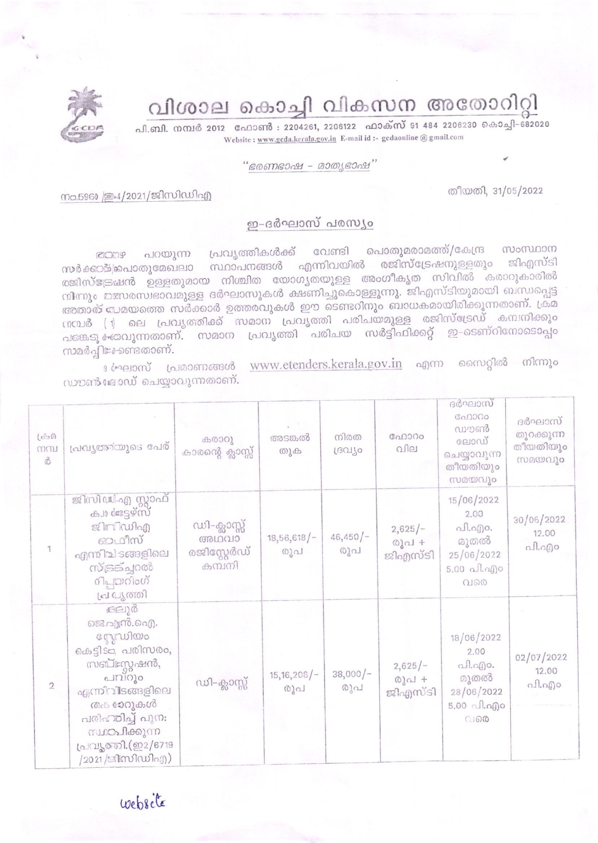## വിശാല കൊച്ചി വികസന അതോറിറ്റി



പി.ബി. നമ്പർ 2012 ഫോൺ : 2204261, 2206122 ഫാക്സ് 91 484 2206230 കൊച്ചി-682020 Website: www.gcda.kerala.gov.in E-mail id :- gcdaonline@gmail.com

''ഭരണഭാഷ – മാതൃഭാഷ''

തീയതി, 31/05/2022

നാ.5960 24/2021/ജിസിഡിഎ

## ഇ-ദർഘാസ് പരസ്യം

പ്രവൃത്തികൾക്ക് വേണ്ടി പൊതുമരാമത്ത്/കേന്ദ്ര സംസ്ഥാന പറയുന്ന **CODP** സർക്കാല് പ്രാതുമേഖലാ സ്ഥാപനങ്ങൾ എന്നിവയിൽ രജിസ്ട്രേഷനുള്ളതും ജിഎസ്ടി രജിസ്ട്രേഷൻ ഉള്ളതുമായ നിശ്ചിത യോഗ്യതയുള്ള അംഗീകൃത സിവിൽ കരാറുകാരിൽ നിന്നും മന്ധരസ്വഭാവമുള്ള ദർഘാസുകൾ ക്ഷണിച്ചുകൊള്ളുന്നു. ജിഎസ്ടിയുമായി ബന്ധപ്പെട്ട അതാത് ഡമയത്തെ സർക്കാർ ഉത്തരവുകൾ ഈ ടെണ്ടറിനും ബാധകമായിരിക്കുന്നതാണ്. ക്രമ നമ്പർ (1) ലെ പ്രവൃത്തിക്ക് സമാന പ്രവൃത്തി പരിചയമുള്ള രജിസ്ട്രേഡ് കമ്പനിക്കും പങ്കെടു ക്കവുന്നതാണ്. സമാന പ്രവൃത്തി പരിചയ സർട്ടിഫിക്കറ്റ് ഇ-ടെണ്റിനോടൊപ്പം സമർപ്പി:കേണ്ടതാണ്.

3 <sup>சேவூ</sup> 1000 மேல் 200 www.etenders.kerala.gov.in എന്ന സൈറ്റിൽ നിന്നും ഡൗൺലോഡ് ചെയ്യാവുന്നതാണ്.

| $(c \partial \Omega)$<br>നമ്പ<br>$\delta$ | പ്രവൃത്തിയുടെ പേര്                                                                                                                                                            | കരാറു<br>കാരന്റെ ക്ലാസ്സ്                     | അടങ്കൽ<br>തുക        | നിരത<br>ദ്രവിശ    | ഹോറം<br>വില                   | ദർഘാസ്<br>ഹോറം<br>ഡൗൺ<br>ലോഡ്<br>ചെയ്യാവുന്ന<br>തീയതിയും<br>സമയവും                     | ദർഘാസ്<br>തുറക്കുന്ന<br>തീയതിയും<br>സമയവും |
|-------------------------------------------|-------------------------------------------------------------------------------------------------------------------------------------------------------------------------------|-----------------------------------------------|----------------------|-------------------|-------------------------------|----------------------------------------------------------------------------------------|--------------------------------------------|
| 1                                         | ஜிஸி விஜி ஜூவி<br>ക്വാ ആട്ടഴ്സ്<br>giminwhan<br>ഓഫീസ്<br>എന്നിവിടങ്ങളിലെ<br>സ്ട്രക്ച്ചറൽ<br>റിപ്പുയറിംഗ്<br>പ്ര പൃത്തി                                                        | ഡി-ക്ലാസ്സ്<br>അഥവാ<br>രജിസ്റ്റേർഡ്<br>കമ്പനി | $18,56,618/-$<br>രൂപ | $46,450/-$<br>രൂപ | $2,625/-$<br>രൂപ +<br>ജിഎസ്ടി | 15/06/2022<br>2.00<br>പി.എം.<br>മുതൽ<br>25/06/2022<br>$5.00 \text{ all.}$ ago<br>വരെ   | 30/06/2022<br>12.00<br>പി.എo               |
| $\overline{2}$                            | കലൂർ<br>ജെ.എൻ.ഐ.<br>കെട്ടിട്കു പരിസരം,<br>സബ്സ്റ്റേഷൻ,<br>പമ്പറുറ<br>എന്നിവീടങ്ങളിലെ<br>തക രോറുകൾ<br>പരിഹരിച്ച് പുന:<br>സ്ഥാപിക്കുന്ന<br>പ്രവൃത്തി.(ഇ2/6719<br>/2021/ജിസിഡിഎ) | ഡി-ക്ലാസ്സ്                                   | $15,16,208/-$<br>രൂപ | $38,000/-$<br>രുപ | $2,625/-$<br>@ൂപ +<br>ജിഎസ്ടി | 18/06/2022<br>2.00<br>പി.എo.<br>മുതൽ<br>28/06/2022<br>$5.00 \text{ and } .000$<br>(160 | 02/07/2022<br>12.00<br>പി.എം               |

webscte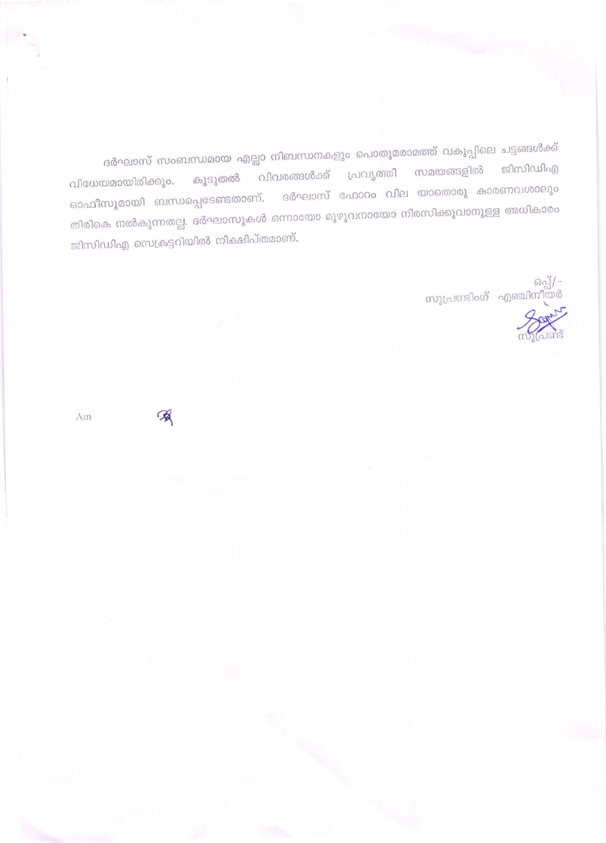ദർഘാസ് സംബന്ധമായ എല്ലാ നിബന്ധനകളും പൊതുമരാമത്ത് വകുപ്പിലെ ചട്ടങ്ങൾക്ക് ജിസിഡിഎ കൂടുതൽ വിവരങ്ങൾക്ക് പ്രവൃത്തി സമയങ്ങളിൽ വിധേയമായിരിക്കും. ഓഫീസുമായി ബന്ധപ്പെടേണ്ടതാണ്. ദർഘാസ് ഫോറം വില യാതൊരു കാരണവശാലും തിരികെ നൽകുന്നതല്ല. ദർഘാസുകൾ ഒന്നായോ മുഴുവനായോ നിരസിക്കുവാനുള്ള അധികാരം ജിസിഡിഎ സെക്രട്ടറിയിൽ നിക്ഷിപ്തമാണ്.

–/[്തെ<br>സുപ്രണ്ടിംഗ് എഞ്ചിനീയർ

Am

一点